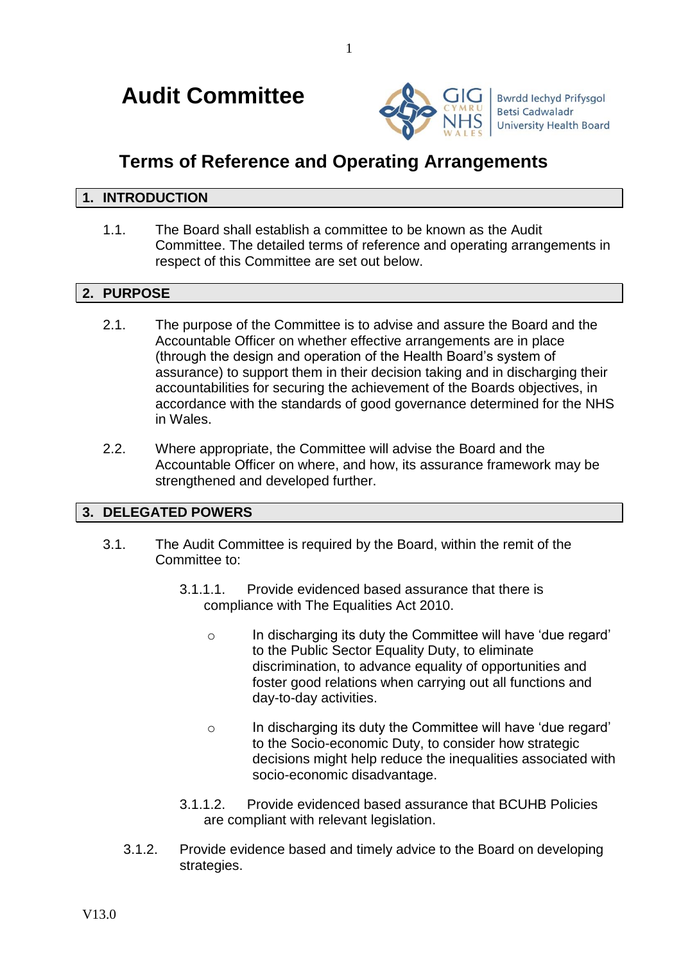# **Audit Committee**



**Bwrdd lechyd Prifysgol** Betsi Cadwaladr University Health Board

# **Terms of Reference and Operating Arrangements**

#### **1. INTRODUCTION**

1.1. The Board shall establish a committee to be known as the Audit Committee. The detailed terms of reference and operating arrangements in respect of this Committee are set out below.

## **2. PURPOSE**

- 2.1. The purpose of the Committee is to advise and assure the Board and the Accountable Officer on whether effective arrangements are in place (through the design and operation of the Health Board's system of assurance) to support them in their decision taking and in discharging their accountabilities for securing the achievement of the Boards objectives, in accordance with the standards of good governance determined for the NHS in Wales.
- 2.2. Where appropriate, the Committee will advise the Board and the Accountable Officer on where, and how, its assurance framework may be strengthened and developed further.

# **3. DELEGATED POWERS**

- 3.1. The Audit Committee is required by the Board, within the remit of the Committee to:
	- 3.1.1.1. Provide evidenced based assurance that there is compliance with The Equalities Act 2010.
		- o In discharging its duty the Committee will have 'due regard' to the Public Sector Equality Duty, to eliminate discrimination, to advance equality of opportunities and foster good relations when carrying out all functions and day-to-day activities.
		- o In discharging its duty the Committee will have 'due regard' to the Socio-economic Duty, to consider how strategic decisions might help reduce the inequalities associated with socio-economic disadvantage.
	- 3.1.1.2. Provide evidenced based assurance that BCUHB Policies are compliant with relevant legislation.
	- 3.1.2. Provide evidence based and timely advice to the Board on developing strategies.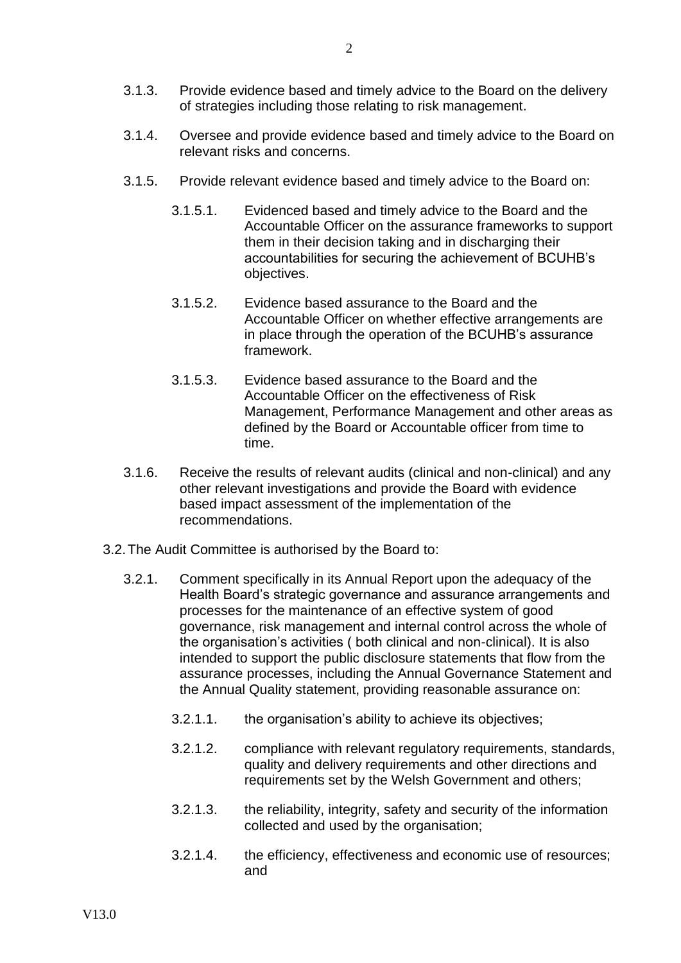- 3.1.3. Provide evidence based and timely advice to the Board on the delivery of strategies including those relating to risk management.
- 3.1.4. Oversee and provide evidence based and timely advice to the Board on relevant risks and concerns.
- 3.1.5. Provide relevant evidence based and timely advice to the Board on:
	- 3.1.5.1. Evidenced based and timely advice to the Board and the Accountable Officer on the assurance frameworks to support them in their decision taking and in discharging their accountabilities for securing the achievement of BCUHB's objectives.
	- 3.1.5.2. Evidence based assurance to the Board and the Accountable Officer on whether effective arrangements are in place through the operation of the BCUHB's assurance framework.
	- 3.1.5.3. Evidence based assurance to the Board and the Accountable Officer on the effectiveness of Risk Management, Performance Management and other areas as defined by the Board or Accountable officer from time to time.
- 3.1.6. Receive the results of relevant audits (clinical and non-clinical) and any other relevant investigations and provide the Board with evidence based impact assessment of the implementation of the recommendations.
- 3.2.The Audit Committee is authorised by the Board to:
	- 3.2.1. Comment specifically in its Annual Report upon the adequacy of the Health Board's strategic governance and assurance arrangements and processes for the maintenance of an effective system of good governance, risk management and internal control across the whole of the organisation's activities ( both clinical and non-clinical). It is also intended to support the public disclosure statements that flow from the assurance processes, including the Annual Governance Statement and the Annual Quality statement, providing reasonable assurance on:
		- 3.2.1.1. the organisation's ability to achieve its objectives;
		- 3.2.1.2. compliance with relevant regulatory requirements, standards, quality and delivery requirements and other directions and requirements set by the Welsh Government and others;
		- 3.2.1.3. the reliability, integrity, safety and security of the information collected and used by the organisation;
		- 3.2.1.4. the efficiency, effectiveness and economic use of resources; and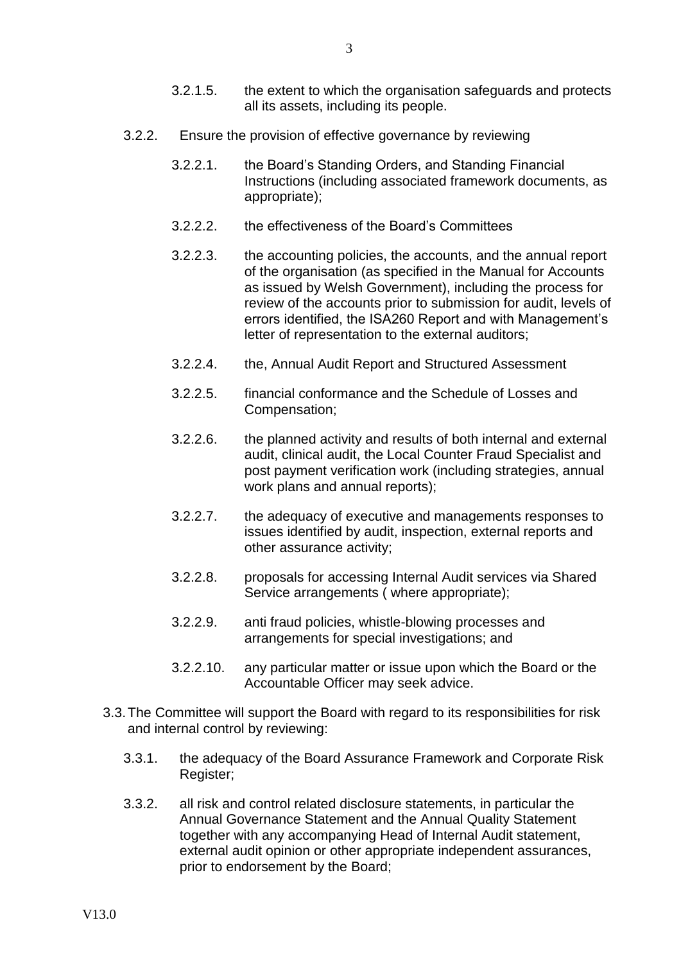- 3.2.1.5. the extent to which the organisation safeguards and protects all its assets, including its people.
- 3.2.2. Ensure the provision of effective governance by reviewing
	- 3.2.2.1. the Board's Standing Orders, and Standing Financial Instructions (including associated framework documents, as appropriate);
	- 3.2.2.2. the effectiveness of the Board's Committees
	- 3.2.2.3. the accounting policies, the accounts, and the annual report of the organisation (as specified in the Manual for Accounts as issued by Welsh Government), including the process for review of the accounts prior to submission for audit, levels of errors identified, the ISA260 Report and with Management's letter of representation to the external auditors;
	- 3.2.2.4. the, Annual Audit Report and Structured Assessment
	- 3.2.2.5. financial conformance and the Schedule of Losses and Compensation;
	- 3.2.2.6. the planned activity and results of both internal and external audit, clinical audit, the Local Counter Fraud Specialist and post payment verification work (including strategies, annual work plans and annual reports);
	- 3.2.2.7. the adequacy of executive and managements responses to issues identified by audit, inspection, external reports and other assurance activity;
	- 3.2.2.8. proposals for accessing Internal Audit services via Shared Service arrangements ( where appropriate);
	- 3.2.2.9. anti fraud policies, whistle-blowing processes and arrangements for special investigations; and
	- 3.2.2.10. any particular matter or issue upon which the Board or the Accountable Officer may seek advice.
- 3.3.The Committee will support the Board with regard to its responsibilities for risk and internal control by reviewing:
	- 3.3.1. the adequacy of the Board Assurance Framework and Corporate Risk Register;
	- 3.3.2. all risk and control related disclosure statements, in particular the Annual Governance Statement and the Annual Quality Statement together with any accompanying Head of Internal Audit statement, external audit opinion or other appropriate independent assurances, prior to endorsement by the Board;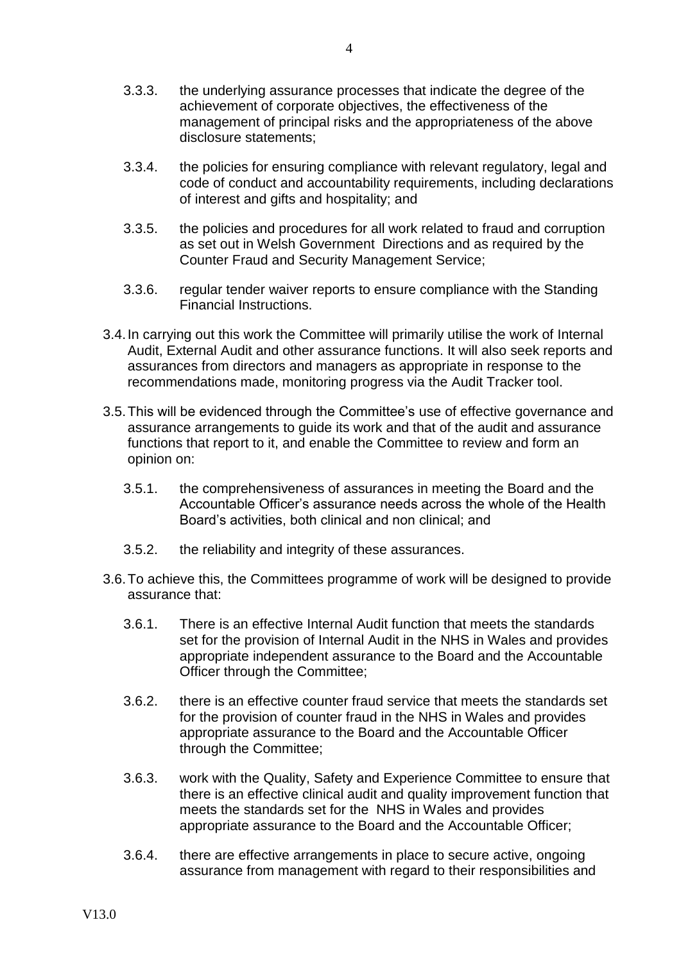- 3.3.3. the underlying assurance processes that indicate the degree of the achievement of corporate objectives, the effectiveness of the management of principal risks and the appropriateness of the above disclosure statements;
- 3.3.4. the policies for ensuring compliance with relevant regulatory, legal and code of conduct and accountability requirements, including declarations of interest and gifts and hospitality; and
- 3.3.5. the policies and procedures for all work related to fraud and corruption as set out in Welsh Government Directions and as required by the Counter Fraud and Security Management Service;
- 3.3.6. regular tender waiver reports to ensure compliance with the Standing Financial Instructions.
- 3.4.In carrying out this work the Committee will primarily utilise the work of Internal Audit, External Audit and other assurance functions. It will also seek reports and assurances from directors and managers as appropriate in response to the recommendations made, monitoring progress via the Audit Tracker tool.
- 3.5.This will be evidenced through the Committee's use of effective governance and assurance arrangements to guide its work and that of the audit and assurance functions that report to it, and enable the Committee to review and form an opinion on:
	- 3.5.1. the comprehensiveness of assurances in meeting the Board and the Accountable Officer's assurance needs across the whole of the Health Board's activities, both clinical and non clinical; and
	- 3.5.2. the reliability and integrity of these assurances.
- 3.6.To achieve this, the Committees programme of work will be designed to provide assurance that:
	- 3.6.1. There is an effective Internal Audit function that meets the standards set for the provision of Internal Audit in the NHS in Wales and provides appropriate independent assurance to the Board and the Accountable Officer through the Committee;
	- 3.6.2. there is an effective counter fraud service that meets the standards set for the provision of counter fraud in the NHS in Wales and provides appropriate assurance to the Board and the Accountable Officer through the Committee;
	- 3.6.3. work with the Quality, Safety and Experience Committee to ensure that there is an effective clinical audit and quality improvement function that meets the standards set for the NHS in Wales and provides appropriate assurance to the Board and the Accountable Officer;
	- 3.6.4. there are effective arrangements in place to secure active, ongoing assurance from management with regard to their responsibilities and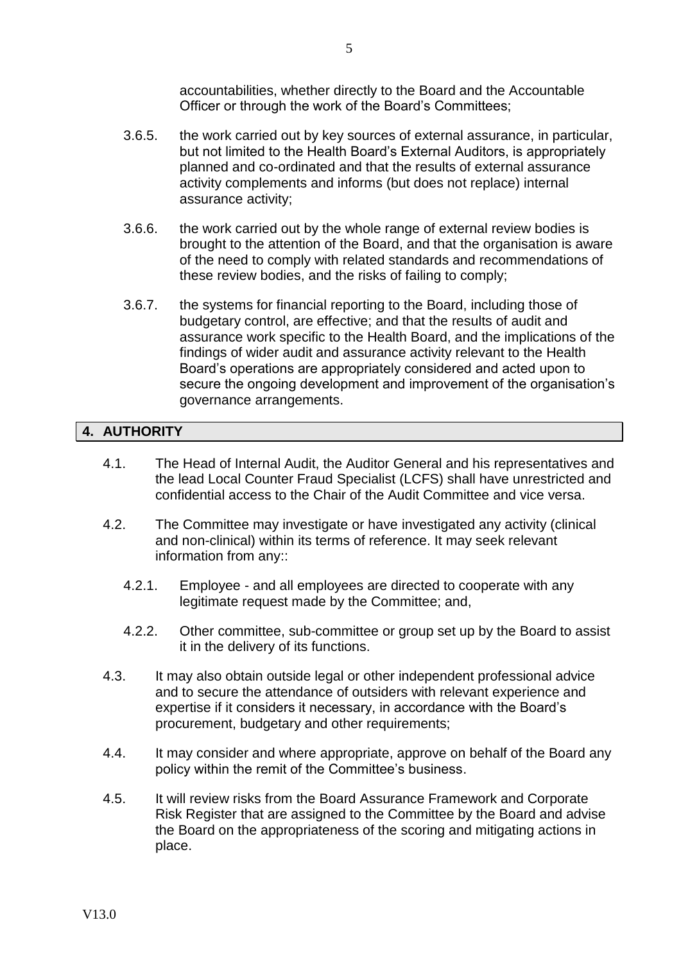accountabilities, whether directly to the Board and the Accountable Officer or through the work of the Board's Committees;

- 3.6.5. the work carried out by key sources of external assurance, in particular, but not limited to the Health Board's External Auditors, is appropriately planned and co-ordinated and that the results of external assurance activity complements and informs (but does not replace) internal assurance activity;
- 3.6.6. the work carried out by the whole range of external review bodies is brought to the attention of the Board, and that the organisation is aware of the need to comply with related standards and recommendations of these review bodies, and the risks of failing to comply;
- 3.6.7. the systems for financial reporting to the Board, including those of budgetary control, are effective; and that the results of audit and assurance work specific to the Health Board, and the implications of the findings of wider audit and assurance activity relevant to the Health Board's operations are appropriately considered and acted upon to secure the ongoing development and improvement of the organisation's governance arrangements.

#### **4. AUTHORITY**

- 4.1. The Head of Internal Audit, the Auditor General and his representatives and the lead Local Counter Fraud Specialist (LCFS) shall have unrestricted and confidential access to the Chair of the Audit Committee and vice versa.
- 4.2. The Committee may investigate or have investigated any activity (clinical and non-clinical) within its terms of reference. It may seek relevant information from any::
	- 4.2.1. Employee and all employees are directed to cooperate with any legitimate request made by the Committee; and,
	- 4.2.2. Other committee, sub-committee or group set up by the Board to assist it in the delivery of its functions.
- 4.3. It may also obtain outside legal or other independent professional advice and to secure the attendance of outsiders with relevant experience and expertise if it considers it necessary, in accordance with the Board's procurement, budgetary and other requirements;
- 4.4. It may consider and where appropriate, approve on behalf of the Board any policy within the remit of the Committee's business.
- 4.5. It will review risks from the Board Assurance Framework and Corporate Risk Register that are assigned to the Committee by the Board and advise the Board on the appropriateness of the scoring and mitigating actions in place.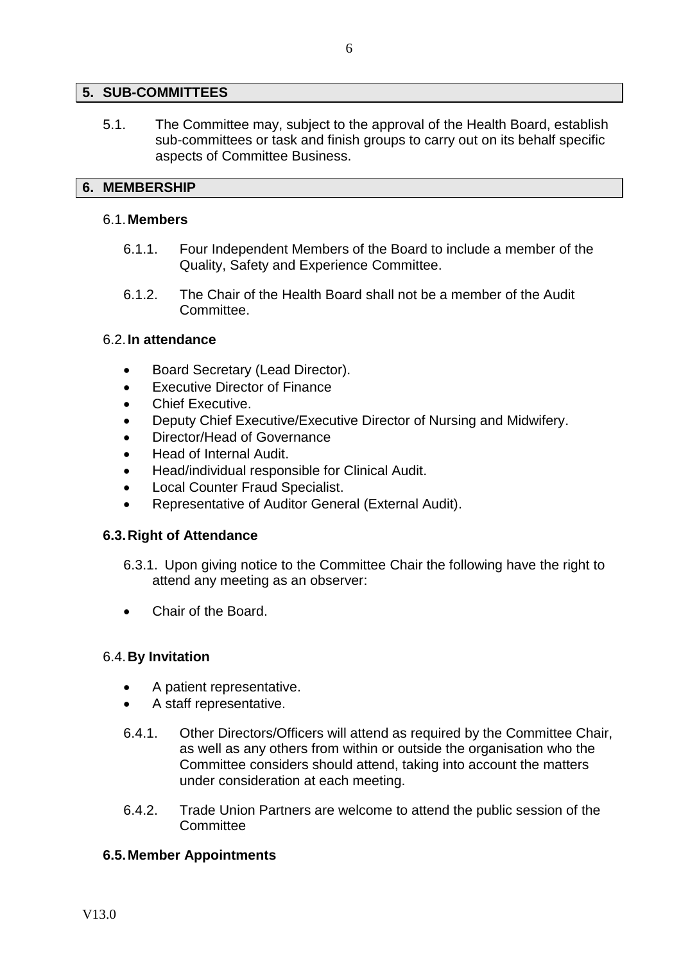#### **5. SUB-COMMITTEES**

5.1. The Committee may, subject to the approval of the Health Board, establish sub-committees or task and finish groups to carry out on its behalf specific aspects of Committee Business.

#### **6. MEMBERSHIP**

#### 6.1.**Members**

- 6.1.1. Four Independent Members of the Board to include a member of the Quality, Safety and Experience Committee.
- 6.1.2. The Chair of the Health Board shall not be a member of the Audit **Committee.**

#### 6.2.**In attendance**

- Board Secretary (Lead Director).
- Executive Director of Finance
- Chief Executive.
- Deputy Chief Executive/Executive Director of Nursing and Midwifery.
- Director/Head of Governance
- Head of Internal Audit.
- Head/individual responsible for Clinical Audit.
- Local Counter Fraud Specialist.
- Representative of Auditor General (External Audit).

#### **6.3.Right of Attendance**

- 6.3.1. Upon giving notice to the Committee Chair the following have the right to attend any meeting as an observer:
- Chair of the Board.

#### 6.4.**By Invitation**

- A patient representative.
- A staff representative.
- 6.4.1. Other Directors/Officers will attend as required by the Committee Chair, as well as any others from within or outside the organisation who the Committee considers should attend, taking into account the matters under consideration at each meeting.
- 6.4.2. Trade Union Partners are welcome to attend the public session of the **Committee**

#### **6.5.Member Appointments**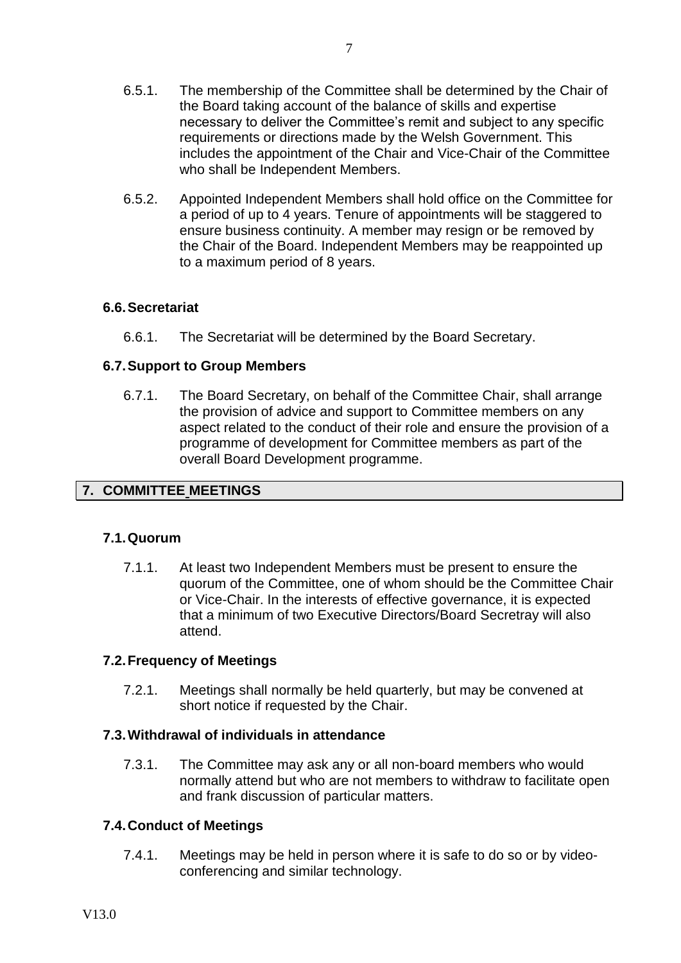- 6.5.1. The membership of the Committee shall be determined by the Chair of the Board taking account of the balance of skills and expertise necessary to deliver the Committee's remit and subject to any specific requirements or directions made by the Welsh Government. This includes the appointment of the Chair and Vice-Chair of the Committee who shall be Independent Members.
- 6.5.2. Appointed Independent Members shall hold office on the Committee for a period of up to 4 years. Tenure of appointments will be staggered to ensure business continuity. A member may resign or be removed by the Chair of the Board. Independent Members may be reappointed up to a maximum period of 8 years.

#### **6.6.Secretariat**

6.6.1. The Secretariat will be determined by the Board Secretary.

## **6.7.Support to Group Members**

6.7.1. The Board Secretary, on behalf of the Committee Chair, shall arrange the provision of advice and support to Committee members on any aspect related to the conduct of their role and ensure the provision of a programme of development for Committee members as part of the overall Board Development programme.

#### **7. COMMITTEE MEETINGS**

#### **7.1.Quorum**

7.1.1. At least two Independent Members must be present to ensure the quorum of the Committee, one of whom should be the Committee Chair or Vice-Chair. In the interests of effective governance, it is expected that a minimum of two Executive Directors/Board Secretray will also attend.

# **7.2.Frequency of Meetings**

7.2.1. Meetings shall normally be held quarterly, but may be convened at short notice if requested by the Chair.

#### **7.3.Withdrawal of individuals in attendance**

7.3.1. The Committee may ask any or all non-board members who would normally attend but who are not members to withdraw to facilitate open and frank discussion of particular matters.

#### **7.4.Conduct of Meetings**

7.4.1. Meetings may be held in person where it is safe to do so or by videoconferencing and similar technology.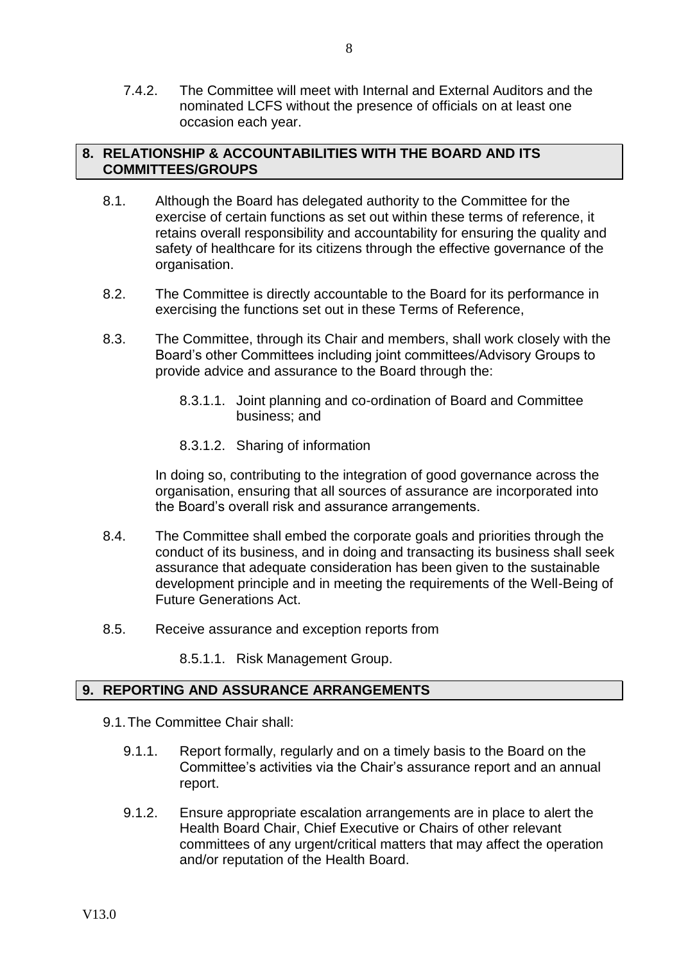7.4.2. The Committee will meet with Internal and External Auditors and the nominated LCFS without the presence of officials on at least one occasion each year.

#### **8. RELATIONSHIP & ACCOUNTABILITIES WITH THE BOARD AND ITS COMMITTEES/GROUPS**

- 8.1. Although the Board has delegated authority to the Committee for the exercise of certain functions as set out within these terms of reference, it retains overall responsibility and accountability for ensuring the quality and safety of healthcare for its citizens through the effective governance of the organisation.
- 8.2. The Committee is directly accountable to the Board for its performance in exercising the functions set out in these Terms of Reference,
- 8.3. The Committee, through its Chair and members, shall work closely with the Board's other Committees including joint committees/Advisory Groups to provide advice and assurance to the Board through the:
	- 8.3.1.1. Joint planning and co-ordination of Board and Committee business; and
	- 8.3.1.2. Sharing of information

In doing so, contributing to the integration of good governance across the organisation, ensuring that all sources of assurance are incorporated into the Board's overall risk and assurance arrangements.

- 8.4. The Committee shall embed the corporate goals and priorities through the conduct of its business, and in doing and transacting its business shall seek assurance that adequate consideration has been given to the sustainable development principle and in meeting the requirements of the Well-Being of Future Generations Act.
- 8.5. Receive assurance and exception reports from
	- 8.5.1.1. Risk Management Group.

# **9. REPORTING AND ASSURANCE ARRANGEMENTS**

- 9.1.The Committee Chair shall:
	- 9.1.1. Report formally, regularly and on a timely basis to the Board on the Committee's activities via the Chair's assurance report and an annual report.
	- 9.1.2. Ensure appropriate escalation arrangements are in place to alert the Health Board Chair, Chief Executive or Chairs of other relevant committees of any urgent/critical matters that may affect the operation and/or reputation of the Health Board.